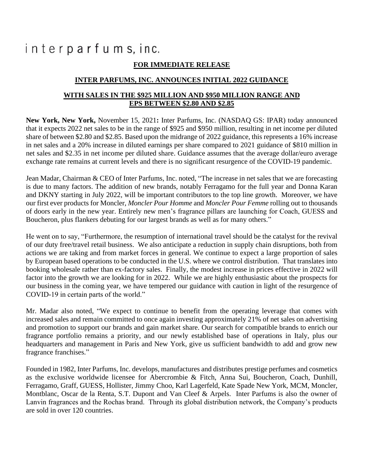## interparfums, inc.

## **FOR IMMEDIATE RELEASE**

## **INTER PARFUMS, INC. ANNOUNCES INITIAL 2022 GUIDANCE**

## **WITH SALES IN THE \$925 MILLION AND \$950 MILLION RANGE AND EPS BETWEEN \$2.80 AND \$2.85**

**New York, New York,** November 15, 2021**:** Inter Parfums, Inc. (NASDAQ GS: IPAR) today announced that it expects 2022 net sales to be in the range of \$925 and \$950 million, resulting in net income per diluted share of between \$2.80 and \$2.85. Based upon the midrange of 2022 guidance, this represents a 16% increase in net sales and a 20% increase in diluted earnings per share compared to 2021 guidance of \$810 million in net sales and \$2.35 in net income per diluted share. Guidance assumes that the average dollar/euro average exchange rate remains at current levels and there is no significant resurgence of the COVID-19 pandemic.

Jean Madar, Chairman & CEO of Inter Parfums, Inc. noted, "The increase in net sales that we are forecasting is due to many factors. The addition of new brands, notably Ferragamo for the full year and Donna Karan and DKNY starting in July 2022, will be important contributors to the top line growth. Moreover, we have our first ever products for Moncler, *Moncler Pour Homme* and *Moncler Pour Femme* rolling out to thousands of doors early in the new year. Entirely new men's fragrance pillars are launching for Coach, GUESS and Boucheron, plus flankers debuting for our largest brands as well as for many others."

He went on to say, "Furthermore, the resumption of international travel should be the catalyst for the revival of our duty free/travel retail business. We also anticipate a reduction in supply chain disruptions, both from actions we are taking and from market forces in general. We continue to expect a large proportion of sales by European based operations to be conducted in the U.S. where we control distribution. That translates into booking wholesale rather than ex-factory sales. Finally, the modest increase in prices effective in 2022 will factor into the growth we are looking for in 2022. While we are highly enthusiastic about the prospects for our business in the coming year, we have tempered our guidance with caution in light of the resurgence of COVID-19 in certain parts of the world."

Mr. Madar also noted, "We expect to continue to benefit from the operating leverage that comes with increased sales and remain committed to once again investing approximately 21% of net sales on advertising and promotion to support our brands and gain market share. Our search for compatible brands to enrich our fragrance portfolio remains a priority, and our newly established base of operations in Italy, plus our headquarters and management in Paris and New York, give us sufficient bandwidth to add and grow new fragrance franchises."

Founded in 1982, Inter Parfums, Inc. develops, manufactures and distributes prestige perfumes and cosmetics as the exclusive worldwide licensee for Abercrombie & Fitch, Anna Sui, Boucheron, Coach, Dunhill, Ferragamo, Graff, GUESS, Hollister, Jimmy Choo, Karl Lagerfeld, Kate Spade New York, MCM, Moncler, Montblanc, Oscar de la Renta, S.T. Dupont and Van Cleef & Arpels. Inter Parfums is also the owner of Lanvin fragrances and the Rochas brand. Through its global distribution network, the Company's products are sold in over 120 countries.